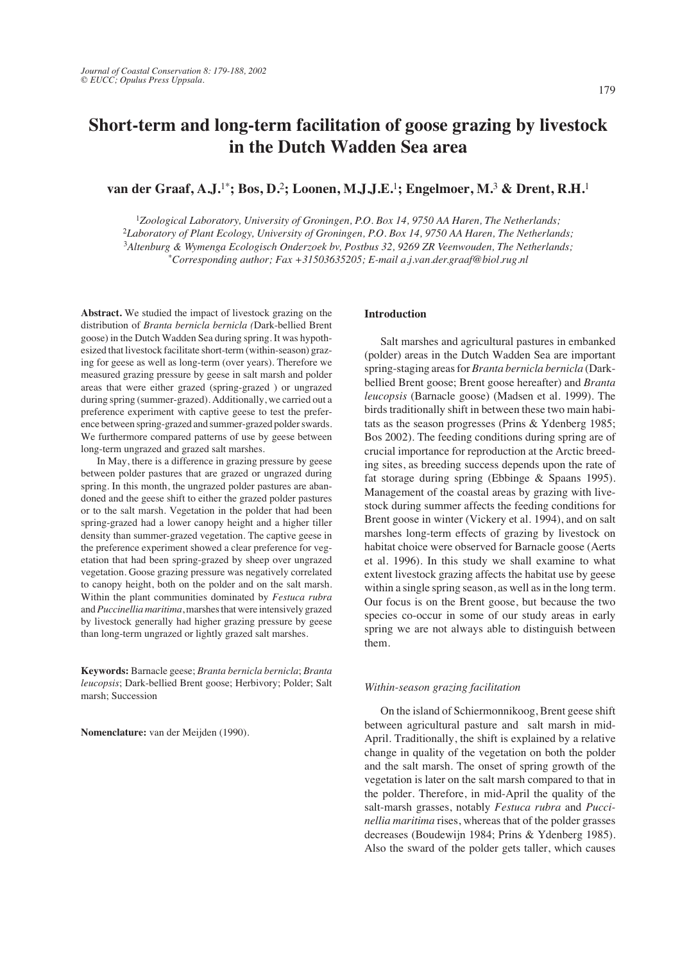# **Short-term and long-term facilitation of goose grazing by livestock in the Dutch Wadden Sea area**

**van der Graaf, A.J.**1\***; Bos, D.**<sup>2</sup>**; Loonen, M.J.J.E.**<sup>1</sup>**; Engelmoer, M.**<sup>3</sup> **& Drent, R.H.**<sup>1</sup>

*Zoological Laboratory, University of Groningen, P.O. Box 14, 9750 AA Haren, The Netherlands; Laboratory of Plant Ecology, University of Groningen, P.O. Box 14, 9750 AA Haren, The Netherlands; Altenburg & Wymenga Ecologisch Onderzoek bv, Postbus 32, 9269 ZR Veenwouden, The Netherlands;* \**Corresponding author; Fax +31503635205; E-mail a.j.van.der.graaf@biol.rug.nl*

**Abstract.** We studied the impact of livestock grazing on the distribution of *Branta bernicla bernicla (*Dark-bellied Brent goose) in the Dutch Wadden Sea during spring. It was hypothesized that livestock facilitate short-term (within-season) grazing for geese as well as long-term (over years). Therefore we measured grazing pressure by geese in salt marsh and polder areas that were either grazed (spring-grazed ) or ungrazed during spring (summer-grazed). Additionally, we carried out a preference experiment with captive geese to test the preference between spring-grazed and summer-grazed polder swards. We furthermore compared patterns of use by geese between long-term ungrazed and grazed salt marshes.

In May, there is a difference in grazing pressure by geese between polder pastures that are grazed or ungrazed during spring. In this month, the ungrazed polder pastures are abandoned and the geese shift to either the grazed polder pastures or to the salt marsh. Vegetation in the polder that had been spring-grazed had a lower canopy height and a higher tiller density than summer-grazed vegetation. The captive geese in the preference experiment showed a clear preference for vegetation that had been spring-grazed by sheep over ungrazed vegetation. Goose grazing pressure was negatively correlated to canopy height, both on the polder and on the salt marsh. Within the plant communities dominated by *Festuca rubra* and *Puccinellia maritima*, marshes that were intensively grazed by livestock generally had higher grazing pressure by geese than long-term ungrazed or lightly grazed salt marshes.

**Keywords:** Barnacle geese; *Branta bernicla bernicla*; *Branta leucopsis*; Dark-bellied Brent goose; Herbivory; Polder; Salt marsh; Succession

**Nomenclature:** van der Meijden (1990).

### **Introduction**

Salt marshes and agricultural pastures in embanked (polder) areas in the Dutch Wadden Sea are important spring-staging areas for *Branta bernicla bernicla* (Darkbellied Brent goose; Brent goose hereafter) and *Branta leucopsis* (Barnacle goose) (Madsen et al. 1999). The birds traditionally shift in between these two main habitats as the season progresses (Prins & Ydenberg 1985; Bos 2002). The feeding conditions during spring are of crucial importance for reproduction at the Arctic breeding sites, as breeding success depends upon the rate of fat storage during spring (Ebbinge & Spaans 1995). Management of the coastal areas by grazing with livestock during summer affects the feeding conditions for Brent goose in winter (Vickery et al. 1994), and on salt marshes long-term effects of grazing by livestock on habitat choice were observed for Barnacle goose (Aerts et al. 1996). In this study we shall examine to what extent livestock grazing affects the habitat use by geese within a single spring season, as well as in the long term. Our focus is on the Brent goose, but because the two species co-occur in some of our study areas in early spring we are not always able to distinguish between them.

### *Within-season grazing facilitation*

On the island of Schiermonnikoog, Brent geese shift between agricultural pasture and salt marsh in mid-April. Traditionally, the shift is explained by a relative change in quality of the vegetation on both the polder and the salt marsh. The onset of spring growth of the vegetation is later on the salt marsh compared to that in the polder. Therefore, in mid-April the quality of the salt-marsh grasses, notably *Festuca rubra* and *Puccinellia maritima* rises, whereas that of the polder grasses decreases (Boudewijn 1984; Prins & Ydenberg 1985). Also the sward of the polder gets taller, which causes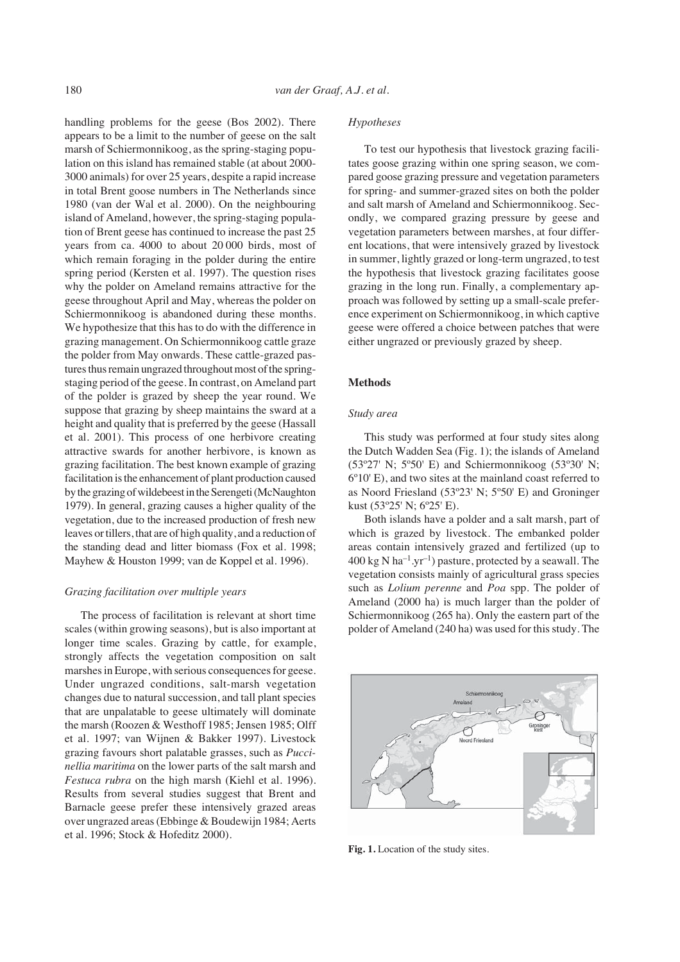handling problems for the geese (Bos 2002). There appears to be a limit to the number of geese on the salt marsh of Schiermonnikoog, as the spring-staging population on this island has remained stable (at about 2000- 3000 animals) for over 25 years, despite a rapid increase in total Brent goose numbers in The Netherlands since 1980 (van der Wal et al. 2000). On the neighbouring island of Ameland, however, the spring-staging population of Brent geese has continued to increase the past 25 years from ca. 4000 to about 20 000 birds, most of which remain foraging in the polder during the entire spring period (Kersten et al. 1997). The question rises why the polder on Ameland remains attractive for the geese throughout April and May, whereas the polder on Schiermonnikoog is abandoned during these months. We hypothesize that this has to do with the difference in grazing management. On Schiermonnikoog cattle graze the polder from May onwards. These cattle-grazed pastures thus remain ungrazed throughout most of the springstaging period of the geese. In contrast, on Ameland part of the polder is grazed by sheep the year round. We suppose that grazing by sheep maintains the sward at a height and quality that is preferred by the geese (Hassall et al. 2001). This process of one herbivore creating attractive swards for another herbivore, is known as grazing facilitation. The best known example of grazing facilitation is the enhancement of plant production caused by the grazing of wildebeest in the Serengeti (McNaughton 1979). In general, grazing causes a higher quality of the vegetation, due to the increased production of fresh new leaves or tillers, that are of high quality, and a reduction of the standing dead and litter biomass (Fox et al. 1998; Mayhew & Houston 1999; van de Koppel et al. 1996).

# *Grazing facilitation over multiple years*

The process of facilitation is relevant at short time scales (within growing seasons), but is also important at longer time scales. Grazing by cattle, for example, strongly affects the vegetation composition on salt marshes in Europe, with serious consequences for geese. Under ungrazed conditions, salt-marsh vegetation changes due to natural succession, and tall plant species that are unpalatable to geese ultimately will dominate the marsh (Roozen & Westhoff 1985; Jensen 1985; Olff et al. 1997; van Wijnen & Bakker 1997). Livestock grazing favours short palatable grasses, such as *Puccinellia maritima* on the lower parts of the salt marsh and *Festuca rubra* on the high marsh (Kiehl et al. 1996). Results from several studies suggest that Brent and Barnacle geese prefer these intensively grazed areas over ungrazed areas (Ebbinge & Boudewijn 1984; Aerts et al. 1996; Stock & Hofeditz 2000).

# *Hypotheses*

To test our hypothesis that livestock grazing facilitates goose grazing within one spring season, we compared goose grazing pressure and vegetation parameters for spring- and summer-grazed sites on both the polder and salt marsh of Ameland and Schiermonnikoog. Secondly, we compared grazing pressure by geese and vegetation parameters between marshes, at four different locations, that were intensively grazed by livestock in summer, lightly grazed or long-term ungrazed, to test the hypothesis that livestock grazing facilitates goose grazing in the long run. Finally, a complementary approach was followed by setting up a small-scale preference experiment on Schiermonnikoog, in which captive geese were offered a choice between patches that were either ungrazed or previously grazed by sheep.

# **Methods**

### *Study area*

This study was performed at four study sites along the Dutch Wadden Sea (Fig. 1); the islands of Ameland (53º27' N; 5º50' E) and Schiermonnikoog (53º30' N; 6º10' E), and two sites at the mainland coast referred to as Noord Friesland (53º23' N; 5º50' E) and Groninger kust (53º25' N; 6º25' E).

Both islands have a polder and a salt marsh, part of which is grazed by livestock. The embanked polder areas contain intensively grazed and fertilized (up to  $400 \text{ kg N} \text{ ha}^{-1} \text{.} \text{yr}^{-1}$ ) pasture, protected by a seawall. The vegetation consists mainly of agricultural grass species such as *Lolium perenne* and *Poa* spp. The polder of Ameland (2000 ha) is much larger than the polder of Schiermonnikoog (265 ha). Only the eastern part of the polder of Ameland (240 ha) was used for this study. The



**Fig. 1.** Location of the study sites.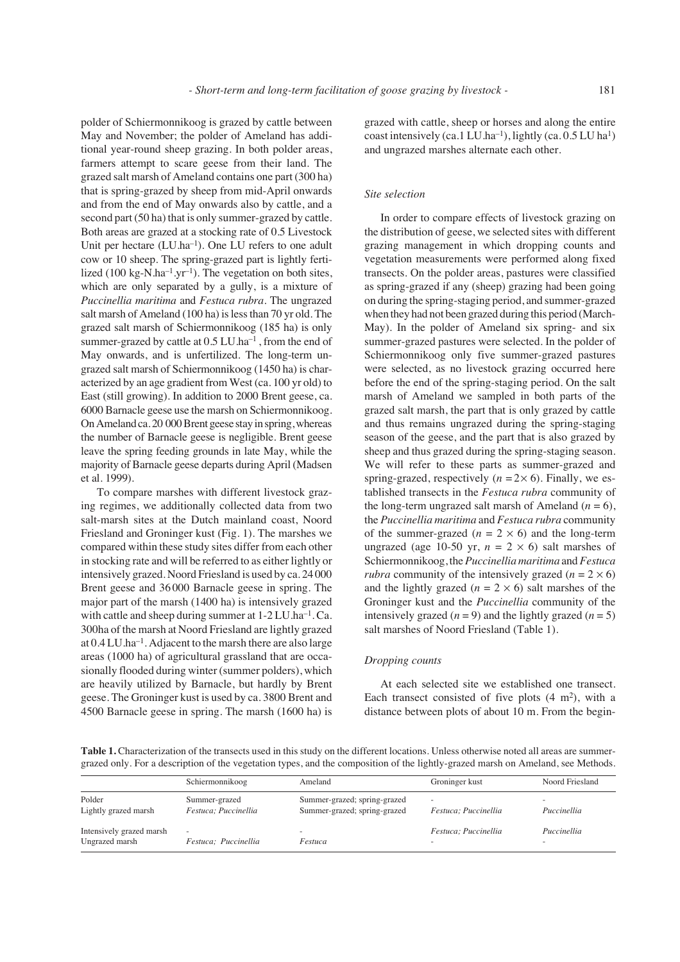polder of Schiermonnikoog is grazed by cattle between May and November; the polder of Ameland has additional year-round sheep grazing. In both polder areas, farmers attempt to scare geese from their land. The grazed salt marsh of Ameland contains one part (300 ha) that is spring-grazed by sheep from mid-April onwards and from the end of May onwards also by cattle, and a second part (50 ha) that is only summer-grazed by cattle. Both areas are grazed at a stocking rate of 0.5 Livestock Unit per hectare  $(LU.ha^{-1})$ . One LU refers to one adult cow or 10 sheep. The spring-grazed part is lightly fertilized (100 kg-N.ha<sup>-1</sup>.yr<sup>-1</sup>). The vegetation on both sites, which are only separated by a gully, is a mixture of *Puccinellia maritima* and *Festuca rubra*. The ungrazed salt marsh of Ameland (100 ha) is less than 70 yr old. The grazed salt marsh of Schiermonnikoog (185 ha) is only summer-grazed by cattle at  $0.5 \text{ LU.ha}^{-1}$ , from the end of May onwards, and is unfertilized. The long-term ungrazed salt marsh of Schiermonnikoog (1450 ha) is characterized by an age gradient from West (ca. 100 yr old) to East (still growing). In addition to 2000 Brent geese, ca. 6000 Barnacle geese use the marsh on Schiermonnikoog. On Ameland ca. 20 000 Brent geese stay in spring, whereas the number of Barnacle geese is negligible. Brent geese leave the spring feeding grounds in late May, while the majority of Barnacle geese departs during April (Madsen et al. 1999).

To compare marshes with different livestock grazing regimes, we additionally collected data from two salt-marsh sites at the Dutch mainland coast, Noord Friesland and Groninger kust (Fig. 1). The marshes we compared within these study sites differ from each other in stocking rate and will be referred to as either lightly or intensively grazed. Noord Friesland is used by ca. 24 000 Brent geese and 36 000 Barnacle geese in spring. The major part of the marsh (1400 ha) is intensively grazed with cattle and sheep during summer at  $1-2 LU.ha^{-1}$ . Ca. 300ha of the marsh at Noord Friesland are lightly grazed at 0.4 LU.ha–1. Adjacent to the marsh there are also large areas (1000 ha) of agricultural grassland that are occasionally flooded during winter (summer polders), which are heavily utilized by Barnacle, but hardly by Brent geese. The Groninger kust is used by ca. 3800 Brent and 4500 Barnacle geese in spring. The marsh (1600 ha) is

grazed with cattle, sheep or horses and along the entire coast intensively (ca.1 LU.ha<sup>-1</sup>), lightly (ca.  $0.5$  LU ha<sup>1</sup>) and ungrazed marshes alternate each other.

# *Site selection*

In order to compare effects of livestock grazing on the distribution of geese, we selected sites with different grazing management in which dropping counts and vegetation measurements were performed along fixed transects. On the polder areas, pastures were classified as spring-grazed if any (sheep) grazing had been going on during the spring-staging period, and summer-grazed when they had not been grazed during this period (March-May). In the polder of Ameland six spring- and six summer-grazed pastures were selected. In the polder of Schiermonnikoog only five summer-grazed pastures were selected, as no livestock grazing occurred here before the end of the spring-staging period. On the salt marsh of Ameland we sampled in both parts of the grazed salt marsh, the part that is only grazed by cattle and thus remains ungrazed during the spring-staging season of the geese, and the part that is also grazed by sheep and thus grazed during the spring-staging season. We will refer to these parts as summer-grazed and spring-grazed, respectively  $(n = 2 \times 6)$ . Finally, we established transects in the *Festuca rubra* community of the long-term ungrazed salt marsh of Ameland  $(n = 6)$ , the *Puccinellia maritima* and *Festuca rubra* community of the summer-grazed ( $n = 2 \times 6$ ) and the long-term ungrazed (age 10-50 yr,  $n = 2 \times 6$ ) salt marshes of Schiermonnikoog, the *Puccinellia maritima* and *Festuca rubra* community of the intensively grazed ( $n = 2 \times 6$ ) and the lightly grazed ( $n = 2 \times 6$ ) salt marshes of the Groninger kust and the *Puccinellia* community of the intensively grazed  $(n = 9)$  and the lightly grazed  $(n = 5)$ salt marshes of Noord Friesland (Table 1).

# *Dropping counts*

At each selected site we established one transect. Each transect consisted of five plots  $(4 \text{ m}^2)$ , with a distance between plots of about 10 m. From the begin-

**Table 1.** Characterization of the transects used in this study on the different locations. Unless otherwise noted all areas are summergrazed only. For a description of the vegetation types, and the composition of the lightly-grazed marsh on Ameland, see Methods.

|                                            | Schiermonnikoog                       | Ameland                                                      | Groninger kust       | Noord Friesland |  |  |
|--------------------------------------------|---------------------------------------|--------------------------------------------------------------|----------------------|-----------------|--|--|
| Polder<br>Lightly grazed marsh             | Summer-grazed<br>Festuca; Puccinellia | Summer-grazed; spring-grazed<br>Summer-grazed; spring-grazed | Festuca; Puccinellia | Puccinellia     |  |  |
| Intensively grazed marsh<br>Ungrazed marsh | ۰<br>Festuca; Puccinellia             | Festuca                                                      | Festuca; Puccinellia | Puccinellia     |  |  |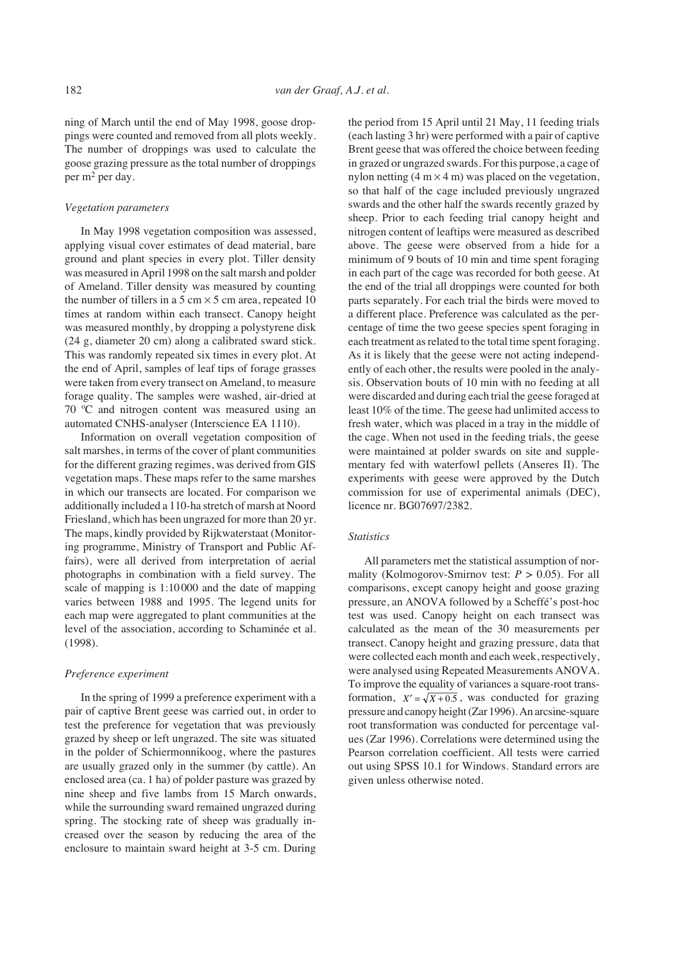ning of March until the end of May 1998, goose droppings were counted and removed from all plots weekly. The number of droppings was used to calculate the goose grazing pressure as the total number of droppings per m2 per day.

# *Vegetation parameters*

In May 1998 vegetation composition was assessed, applying visual cover estimates of dead material, bare ground and plant species in every plot. Tiller density was measured in April 1998 on the salt marsh and polder of Ameland. Tiller density was measured by counting the number of tillers in a 5 cm  $\times$  5 cm area, repeated 10 times at random within each transect. Canopy height was measured monthly, by dropping a polystyrene disk (24 g, diameter 20 cm) along a calibrated sward stick. This was randomly repeated six times in every plot. At the end of April, samples of leaf tips of forage grasses were taken from every transect on Ameland, to measure forage quality. The samples were washed, air-dried at 70 ºC and nitrogen content was measured using an automated CNHS-analyser (Interscience EA 1110).

Information on overall vegetation composition of salt marshes, in terms of the cover of plant communities for the different grazing regimes, was derived from GIS vegetation maps. These maps refer to the same marshes in which our transects are located. For comparison we additionally included a 110-ha stretch of marsh at Noord Friesland, which has been ungrazed for more than 20 yr. The maps, kindly provided by Rijkwaterstaat (Monitoring programme, Ministry of Transport and Public Affairs), were all derived from interpretation of aerial photographs in combination with a field survey. The scale of mapping is 1:10000 and the date of mapping varies between 1988 and 1995. The legend units for each map were aggregated to plant communities at the level of the association, according to Schaminée et al. (1998).

# *Preference experiment*

In the spring of 1999 a preference experiment with a pair of captive Brent geese was carried out, in order to test the preference for vegetation that was previously grazed by sheep or left ungrazed. The site was situated in the polder of Schiermonnikoog, where the pastures are usually grazed only in the summer (by cattle). An enclosed area (ca. 1 ha) of polder pasture was grazed by nine sheep and five lambs from 15 March onwards, while the surrounding sward remained ungrazed during spring. The stocking rate of sheep was gradually increased over the season by reducing the area of the enclosure to maintain sward height at 3-5 cm. During

the period from 15 April until 21 May, 11 feeding trials (each lasting 3 hr) were performed with a pair of captive Brent geese that was offered the choice between feeding in grazed or ungrazed swards. For this purpose, a cage of nylon netting  $(4 \text{ m} \times 4 \text{ m})$  was placed on the vegetation, so that half of the cage included previously ungrazed swards and the other half the swards recently grazed by sheep. Prior to each feeding trial canopy height and nitrogen content of leaftips were measured as described above. The geese were observed from a hide for a minimum of 9 bouts of 10 min and time spent foraging in each part of the cage was recorded for both geese. At the end of the trial all droppings were counted for both parts separately. For each trial the birds were moved to a different place. Preference was calculated as the percentage of time the two geese species spent foraging in each treatment as related to the total time spent foraging. As it is likely that the geese were not acting independently of each other, the results were pooled in the analysis. Observation bouts of 10 min with no feeding at all were discarded and during each trial the geese foraged at least 10% of the time. The geese had unlimited access to fresh water, which was placed in a tray in the middle of the cage. When not used in the feeding trials, the geese were maintained at polder swards on site and supplementary fed with waterfowl pellets (Anseres II). The experiments with geese were approved by the Dutch commission for use of experimental animals (DEC), licence nr. BG07697/2382.

### *Statistics*

All parameters met the statistical assumption of normality (Kolmogorov-Smirnov test:  $P > 0.05$ ). For all comparisons, except canopy height and goose grazing pressure, an ANOVA followed by a Scheffé's post-hoc test was used. Canopy height on each transect was calculated as the mean of the 30 measurements per transect. Canopy height and grazing pressure, data that were collected each month and each week, respectively, were analysed using Repeated Measurements ANOVA. To improve the equality of variances a square-root transformation,  $X' = \sqrt{X+0.5}$ , was conducted for grazing pressure and canopy height (Zar 1996). An arcsine-square root transformation was conducted for percentage values (Zar 1996). Correlations were determined using the Pearson correlation coefficient. All tests were carried out using SPSS 10.1 for Windows. Standard errors are given unless otherwise noted.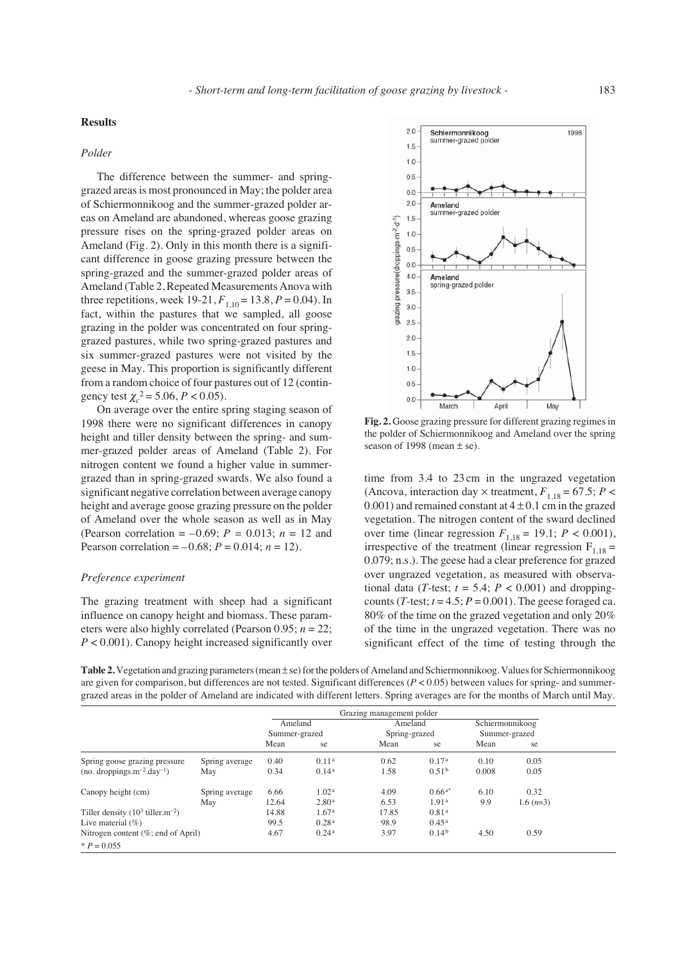# **Results**

#### *Polder*

The difference between the summer- and springgrazed areas is most pronounced in May; the polder area of Schiermonnikoog and the summer-grazed polder areas on Ameland are abandoned, whereas goose grazing pressure rises on the spring-grazed polder areas on Ameland (Fig. 2). Only in this month there is a significant difference in goose grazing pressure between the spring-grazed and the summer-grazed polder areas of Ameland (Table 2, Repeated Measurements Anova with three repetitions, week 19-21,  $F_{1,10} = 13.8$ ,  $P = 0.04$ ). In fact, within the pastures that we sampled, all goose grazing in the polder was concentrated on four springgrazed pastures, while two spring-grazed pastures and six summer-grazed pastures were not visited by the geese in May. This proportion is significantly different from a random choice of four pastures out of 12 (contingency test  $\chi_c^2 = 5.06, P < 0.05$ .

On average over the entire spring staging season of 1998 there were no significant differences in canopy height and tiller density between the spring- and summer-grazed polder areas of Ameland (Table 2). For nitrogen content we found a higher value in summergrazed than in spring-grazed swards. We also found a significant negative correlation between average canopy height and average goose grazing pressure on the polder of Ameland over the whole season as well as in May (Pearson correlation =  $-0.69$ ; *P* = 0.013; *n* = 12 and Pearson correlation =  $-0.68$ ;  $P = 0.014$ ;  $n = 12$ ).

### *Preference experiment*

The grazing treatment with sheep had a significant influence on canopy height and biomass. These parameters were also highly correlated (Pearson 0.95; *n* = 22; *P* < 0.001). Canopy height increased significantly over



**Fig. 2.** Goose grazing pressure for different grazing regimes in the polder of Schiermonnikoog and Ameland over the spring season of 1998 (mean  $\pm$  se).

time from 3.4 to 23cm in the ungrazed vegetation (Ancova, interaction day  $\times$  treatment,  $F_{1,18} = 67.5$ ;  $P \le$ 0.001) and remained constant at  $4 \pm 0.1$  cm in the grazed vegetation. The nitrogen content of the sward declined over time (linear regression  $F_{1,18} = 19.1$ ;  $P < 0.001$ ), irrespective of the treatment (linear regression  $F_{1,18} =$ 0.079; n.s.). The geese had a clear preference for grazed over ungrazed vegetation, as measured with observational data (*T*-test;  $t = 5.4$ ;  $P < 0.001$ ) and droppingcounts (*T*-test;  $t = 4.5$ ;  $P = 0.001$ ). The geese foraged ca. 80% of the time on the grazed vegetation and only 20% of the time in the ungrazed vegetation. There was no significant effect of the time of testing through the

**Table 2.**Vegetation and grazing parameters (mean ± se) for the polders of Ameland and Schiermonnikoog. Values for Schiermonnikoog are given for comparison, but differences are not tested. Significant differences (*P* < 0.05) between values for spring- and summergrazed areas in the polder of Ameland are indicated with different letters. Spring averages are for the months of March until May.

|                                               |                | Grazing management polder |                   |               |                   |               |                 |  |  |
|-----------------------------------------------|----------------|---------------------------|-------------------|---------------|-------------------|---------------|-----------------|--|--|
|                                               |                | Ameland                   |                   | Ameland       |                   |               | Schiermonnikoog |  |  |
|                                               |                | Summer-grazed             |                   | Spring-grazed |                   | Summer-grazed |                 |  |  |
|                                               |                | Mean                      | se                | Mean          | se                | Mean          | se              |  |  |
| Spring goose grazing pressure                 | Spring average | 0.40                      | 0.11 <sup>a</sup> | 0.62          | 0.17 <sup>a</sup> | 0.10          | 0.05            |  |  |
| $(no. droppings.m^{-2}.day^{-1})$             | May            | 0.34                      | 0.14 <sup>a</sup> | 1.58          | 0.51 <sup>b</sup> | 0.008         | 0.05            |  |  |
| Canopy height (cm)                            | Spring average | 6.66                      | 1.02 <sup>a</sup> | 4.09          | $0.66^{a*}$       | 6.10          | 0.32            |  |  |
|                                               | May            | 12.64                     | 2.80 <sup>a</sup> | 6.53          | 1.91 <sup>a</sup> | 9.9           | $1.6(n=3)$      |  |  |
| Tiller density $(10^3 \text{ tiller.m}^{-2})$ |                | 14.88                     | 1.67 <sup>a</sup> | 17.85         | 0.81 <sup>a</sup> |               |                 |  |  |
| Live material $(\%)$                          |                | 99.5                      | 0.28 <sup>a</sup> | 98.9          | $0.45^{\rm a}$    |               |                 |  |  |
| Nitrogen content $(\%;$ end of April)         |                | 4.67                      | 0.24 <sup>a</sup> | 3.97          | 0.14 <sup>b</sup> | 4.50          | 0.59            |  |  |
| $* P = 0.055$                                 |                |                           |                   |               |                   |               |                 |  |  |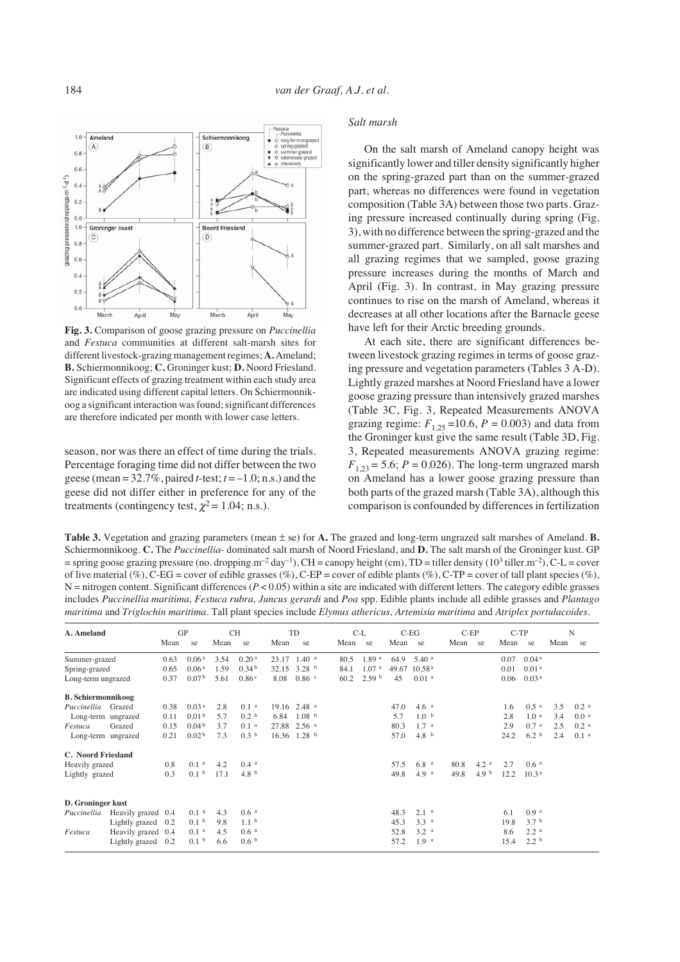

**Fig. 3.** Comparison of goose grazing pressure on *Puccinellia* and *Festuca* communities at different salt-marsh sites for different livestock-grazing management regimes; **A.** Ameland; **B.** Schiermonnikoog; **C.** Groninger kust; **D.** Noord Friesland. Significant effects of grazing treatment within each study area are indicated using different capital letters. On Schiermonnikoog a significant interaction was found; significant differences are therefore indicated per month with lower case letters.

season, nor was there an effect of time during the trials. Percentage foraging time did not differ between the two geese (mean = 32.7%, paired *t*-test; *t* = –1.0; n.s.) and the geese did not differ either in preference for any of the treatments (contingency test,  $\chi^2$  = 1.04; n.s.).

# *Salt marsh*

On the salt marsh of Ameland canopy height was significantly lower and tiller density significantly higher on the spring-grazed part than on the summer-grazed part, whereas no differences were found in vegetation composition (Table 3A) between those two parts. Grazing pressure increased continually during spring (Fig. 3), with no difference between the spring-grazed and the summer-grazed part. Similarly, on all salt marshes and all grazing regimes that we sampled, goose grazing pressure increases during the months of March and April (Fig. 3). In contrast, in May grazing pressure continues to rise on the marsh of Ameland, whereas it decreases at all other locations after the Barnacle geese have left for their Arctic breeding grounds.

At each site, there are significant differences between livestock grazing regimes in terms of goose grazing pressure and vegetation parameters (Tables 3 A-D). Lightly grazed marshes at Noord Friesland have a lower goose grazing pressure than intensively grazed marshes (Table 3C, Fig. 3, Repeated Measurements ANOVA grazing regime:  $F_{1,25}$  =10.6,  $P = 0.003$ ) and data from the Groninger kust give the same result (Table 3D, Fig. 3, Repeated measurements ANOVA grazing regime:  $F_{1,23}$  = 5.6; *P* = 0.026). The long-term ungrazed marsh on Ameland has a lower goose grazing pressure than both parts of the grazed marsh (Table 3A), although this comparison is confounded by differences in fertilization

**Table 3.** Vegetation and grazing parameters (mean ± se) for **A.** The grazed and long-term ungrazed salt marshes of Ameland. **B.** Schiermonnikoog. **C.** The *Puccinellia*- dominated salt marsh of Noord Friesland, and **D.** The salt marsh of the Groninger kust. GP = spring goose grazing pressure (no. dropping.m<sup>-2</sup> day<sup>-1</sup>), CH = canopy height (cm), TD = tiller density (10<sup>3</sup> tiller.m<sup>-2</sup>), C-L = cover of live material (%), C-EG = cover of edible grasses (%), C-EP = cover of edible plants (%), C-TP = cover of tall plant species (%),  $N =$ nitrogen content. Significant differences ( $P < 0.05$ ) within a site are indicated with different letters. The category edible grasses includes *Puccinellia maritima, Festuca rubra, Juncus gerardi* and *Poa* spp*.* Edible plants include all edible grasses and *Plantago maritima* and *Triglochin maritima.* Tall plant species include *Elymus athericus, Artemisia maritima* and *Atriplex portulacoides.*

| A. Ameland                |                      | GP   |                    | <b>CH</b> |                   | TD    |                     |      | $C-L$             |       | $C$ -EG             |      | $C$ -EP          | $C-TP$ |                   | N   |                  |
|---------------------------|----------------------|------|--------------------|-----------|-------------------|-------|---------------------|------|-------------------|-------|---------------------|------|------------------|--------|-------------------|-----|------------------|
|                           | Mean                 | se   | Mean               | se        | Mean              | se    | Mean                | se   | Mean              | -se   | Mean                | se   | Mean             | se     | Mean              | se  |                  |
| Summer-grazed             |                      | 0.63 | 0.06 <sup>a</sup>  | 3.54      | 0.20 <sup>a</sup> | 23.17 | $1.40$ <sup>a</sup> | 80.5 | 1.89a             | 64.9  | $5.40$ <sup>a</sup> |      |                  | 0.07   | 0.04 <sup>a</sup> |     |                  |
| Spring-grazed             |                      | 0.65 | 0.06 <sup>a</sup>  | 1.59      | 0.34 <sup>b</sup> | 32.15 | 3.28 <sup>b</sup>   | 84.1 | 1.07 <sup>a</sup> | 49.67 | 10.58 <sup>a</sup>  |      |                  | 0.01   | 0.01 <sup>a</sup> |     |                  |
| Long-term ungrazed        |                      | 0.37 | 0.07 <sup>b</sup>  | 5.61      | 0.86c             | 8.08  | 0.86 c              | 60.2 | 2.59 <sup>b</sup> | 45    | 0.01 <sup>a</sup>   |      |                  | 0.06   | 0.03 <sup>a</sup> |     |                  |
| <b>B.</b> Schiermonnikoog |                      |      |                    |           |                   |       |                     |      |                   |       |                     |      |                  |        |                   |     |                  |
| Puccinellia               | Grazed               | 0.38 | 0.03 <sup>a</sup>  | 2.8       | 0.1 <sup>a</sup>  |       | 19.16 2.48 a        |      |                   | 47.0  | 4.6a                |      |                  | 1.6    | 0.5 <sup>a</sup>  | 3.5 | 0.2 <sup>a</sup> |
| Long-term ungrazed        |                      | 0.11 | 0.01 <sup>b</sup>  | 5.7       | 0.2 <sup>b</sup>  | 6.84  | 1.08 <sup>b</sup>   |      |                   | 5.7   | 1.0 <sup>b</sup>    |      |                  | 2.8    | 1.0 <sup>a</sup>  | 3.4 | 0.0 <sup>a</sup> |
| Festuca                   | Grazed               | 0.15 | 0.04 <sup>b</sup>  | 3.7       | 0.1 <sup>a</sup>  | 27.88 | $2.56$ a            |      |                   | 80.3  | 1.7 <sup>a</sup>    |      |                  | 2.9    | 0.7 <sup>a</sup>  | 2.5 | 0.2 <sup>a</sup> |
| Long-term ungrazed        |                      | 0.21 | 0.02 <sup>b</sup>  | 7.3       | 0.3 <sup>b</sup>  |       | $16.36$ 1.28 $b$    |      |                   | 57.0  | 4.8 <sup>b</sup>    |      |                  | 24.2   | 6.2 <sup>b</sup>  | 2.4 | 0.1 <sup>a</sup> |
| C. Noord Friesland        |                      |      |                    |           |                   |       |                     |      |                   |       |                     |      |                  |        |                   |     |                  |
| Heavily grazed            |                      | 0.8  | 0.1 <sup>a</sup>   | 4.2       | 0.4a              |       |                     |      |                   | 57.5  | 6.8 <sup>a</sup>    | 80.8 | 4.2 <sup>a</sup> | 2.7    | 0.6 <sup>a</sup>  |     |                  |
| Lightly grazed            |                      | 0.3  | 0.1 <sup>b</sup>   | 17.1      | 4.8 <sup>b</sup>  |       |                     |      |                   | 49.8  | 4.9 <sup>a</sup>    | 49.8 | 4.9 <sup>b</sup> | 12.2   | 10.3 <sup>a</sup> |     |                  |
| D. Groninger kust         |                      |      |                    |           |                   |       |                     |      |                   |       |                     |      |                  |        |                   |     |                  |
| Puccinellia               | Heavily grazed 0.4   |      | $0.1$ <sup>q</sup> | 4.3       | 0.6 <sup>a</sup>  |       |                     |      |                   | 48.3  | 2.1 <sup>a</sup>    |      |                  | 6.1    | 0.9 <sup>a</sup>  |     |                  |
|                           | Lightly grazed $0.2$ |      | 0.1 <sup>b</sup>   | 9.8       | 1.1 <sup>b</sup>  |       |                     |      |                   | 45.3  | 3.3 <sup>a</sup>    |      |                  | 19.8   | 3.7 <sup>b</sup>  |     |                  |
| Festuca                   | Heavily grazed 0.4   |      | 0.1 <sup>a</sup>   | 4.5       | 0.6 <sup>a</sup>  |       |                     |      |                   | 52.8  | 3.2 <sup>a</sup>    |      |                  | 8.6    | 2.2 <sup>a</sup>  |     |                  |
|                           | Lightly grazed 0.2   |      | 0.1 <sup>b</sup>   | 6.6       | 0.6 <sup>b</sup>  |       |                     |      |                   | 57.2  | 1.9 <sup>a</sup>    |      |                  | 15.4   | 2.2 <sup>b</sup>  |     |                  |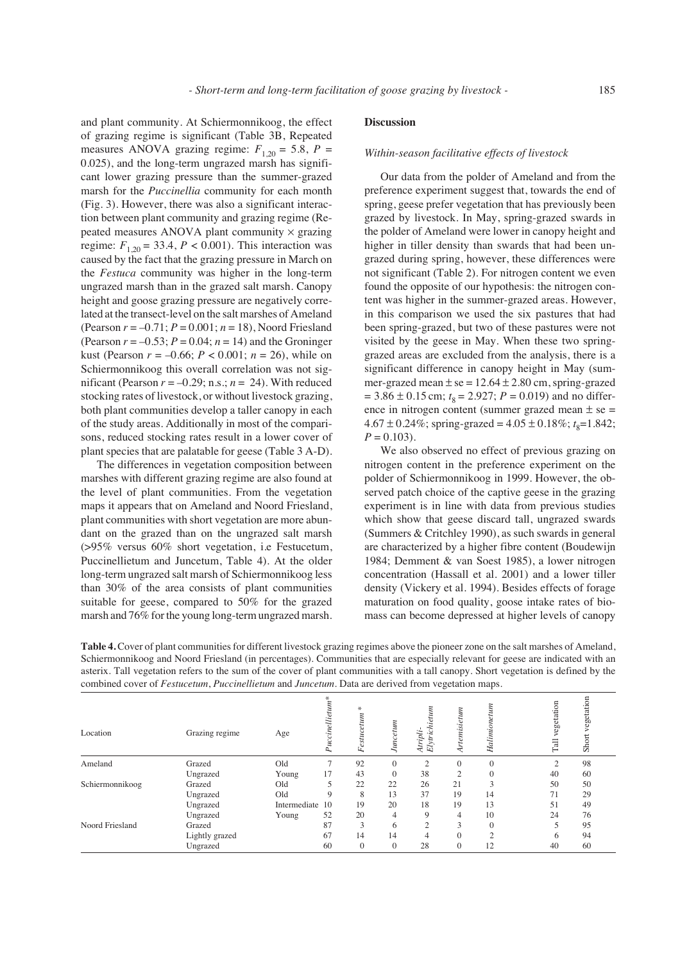and plant community. At Schiermonnikoog, the effect of grazing regime is significant (Table 3B, Repeated measures ANOVA grazing regime:  $F_{1,20} = 5.8$ ,  $P =$ 0.025), and the long-term ungrazed marsh has significant lower grazing pressure than the summer-grazed marsh for the *Puccinellia* community for each month (Fig. 3). However, there was also a significant interaction between plant community and grazing regime (Repeated measures ANOVA plant community  $\times$  grazing regime:  $F_{1,20} = 33.4$ ,  $P < 0.001$ ). This interaction was caused by the fact that the grazing pressure in March on the *Festuca* community was higher in the long-term ungrazed marsh than in the grazed salt marsh. Canopy height and goose grazing pressure are negatively correlated at the transect-level on the salt marshes of Ameland (Pearson *r* = –0.71; *P* = 0.001; *n* = 18), Noord Friesland (Pearson  $r = -0.53$ ;  $P = 0.04$ ;  $n = 14$ ) and the Groninger kust (Pearson  $r = -0.66$ ;  $P < 0.001$ ;  $n = 26$ ), while on Schiermonnikoog this overall correlation was not significant (Pearson  $r = -0.29$ ; n.s.;  $n = 24$ ). With reduced stocking rates of livestock, or without livestock grazing, both plant communities develop a taller canopy in each of the study areas. Additionally in most of the comparisons, reduced stocking rates result in a lower cover of plant species that are palatable for geese (Table 3 A-D).

The differences in vegetation composition between marshes with different grazing regime are also found at the level of plant communities. From the vegetation maps it appears that on Ameland and Noord Friesland, plant communities with short vegetation are more abundant on the grazed than on the ungrazed salt marsh (>95% versus 60% short vegetation, i.e Festucetum, Puccinellietum and Juncetum, Table 4). At the older long-term ungrazed salt marsh of Schiermonnikoog less than 30% of the area consists of plant communities suitable for geese, compared to 50% for the grazed marsh and 76% for the young long-term ungrazed marsh.

# **Discussion**

#### *Within-season facilitative effects of livestock*

Our data from the polder of Ameland and from the preference experiment suggest that, towards the end of spring, geese prefer vegetation that has previously been grazed by livestock. In May, spring-grazed swards in the polder of Ameland were lower in canopy height and higher in tiller density than swards that had been ungrazed during spring, however, these differences were not significant (Table 2). For nitrogen content we even found the opposite of our hypothesis: the nitrogen content was higher in the summer-grazed areas. However, in this comparison we used the six pastures that had been spring-grazed, but two of these pastures were not visited by the geese in May. When these two springgrazed areas are excluded from the analysis, there is a significant difference in canopy height in May (summer-grazed mean  $\pm$  se = 12.64  $\pm$  2.80 cm, spring-grazed  $= 3.86 \pm 0.15$  cm;  $t_8 = 2.927$ ;  $P = 0.019$ ) and no difference in nitrogen content (summer grazed mean  $\pm$  se =  $4.67 \pm 0.24\%$ ; spring-grazed =  $4.05 \pm 0.18\%$ ;  $t_8 = 1.842$ ;  $P = 0.103$ .

We also observed no effect of previous grazing on nitrogen content in the preference experiment on the polder of Schiermonnikoog in 1999. However, the observed patch choice of the captive geese in the grazing experiment is in line with data from previous studies which show that geese discard tall, ungrazed swards (Summers & Critchley 1990), as such swards in general are characterized by a higher fibre content (Boudewijn 1984; Demment & van Soest 1985), a lower nitrogen concentration (Hassall et al. 2001) and a lower tiller density (Vickery et al. 1994). Besides effects of forage maturation on food quality, goose intake rates of biomass can become depressed at higher levels of canopy

**Table 4.** Cover of plant communities for different livestock grazing regimes above the pioneer zone on the salt marshes of Ameland, Schiermonnikoog and Noord Friesland (in percentages). Communities that are especially relevant for geese are indicated with an asterix. Tall vegetation refers to the sum of the cover of plant communities with a tall canopy. Short vegetation is defined by the combined cover of *Festucetum*, *Puccinellietum* and *Juncetum*. Data are derived from vegetation maps.

| Location        | Grazing regime | Age             | ₩<br>Puccinelliet | ₩<br>٠         | <b>Iuncetum</b> | hietum<br>Elytrich<br>Atripli- | temisietum | Halimic   | egetation<br>Tall | vegetation<br>Short |  |
|-----------------|----------------|-----------------|-------------------|----------------|-----------------|--------------------------------|------------|-----------|-------------------|---------------------|--|
| Ameland         | Grazed         | Old             | ┑                 | 92             | $\Omega$        | $\overline{2}$                 | $\Omega$   | $\theta$  | ◠                 | 98                  |  |
|                 | Ungrazed       | Young           | 17                | 43             |                 | 38                             | $\gamma$   | $\Omega$  | 40                | 60                  |  |
| Schiermonnikoog | Grazed         | Old             |                   | 22             | 22              | 26                             | 21         | ⌒         | 50                | 50                  |  |
|                 | Ungrazed       | Old             | 9                 | 8              | 13              | 37                             | 19         | 14        | 71                | 29                  |  |
|                 | Ungrazed       | Intermediate 10 |                   | 19             | 20              | 18                             | 19         | 13        | 51                | 49                  |  |
|                 | Ungrazed       | Young           | 52                | 20             | 4               | 9                              | 4          | 10        | 24                | 76                  |  |
| Noord Friesland | Grazed         |                 | 87                | 3              | 6               | $\overline{2}$                 | 3          | $\Omega$  |                   | 95                  |  |
|                 | Lightly grazed |                 | 67                | 14             | 14              | 4                              | $\Omega$   | $\bigcap$ | 6                 | 94                  |  |
|                 | Ungrazed       |                 | 60                | $\overline{0}$ | $\overline{0}$  | 28                             | $\theta$   | 12        | 40                | 60                  |  |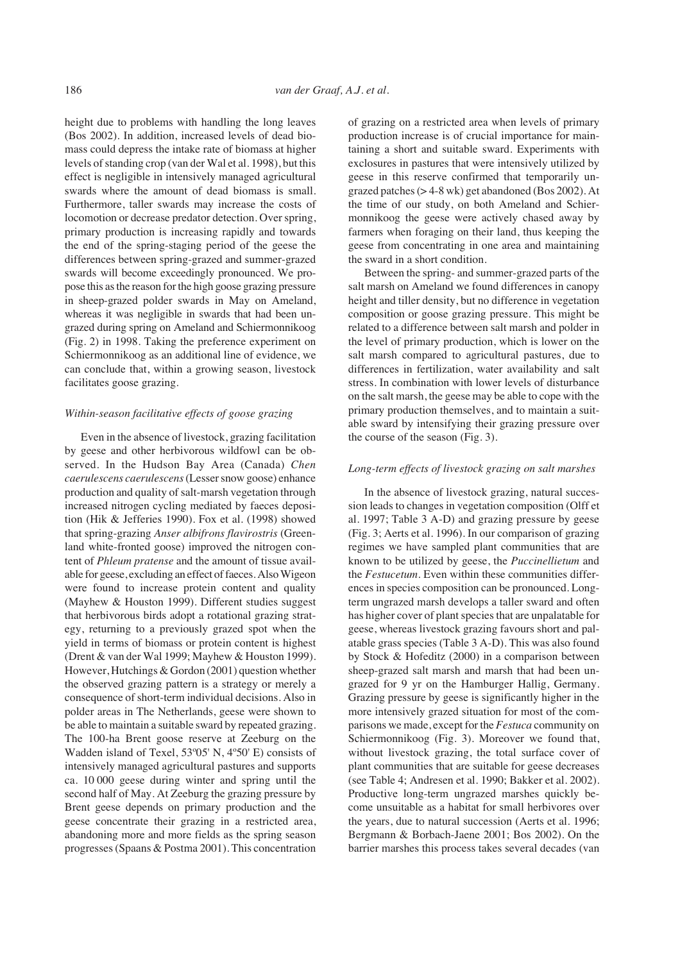height due to problems with handling the long leaves (Bos 2002). In addition, increased levels of dead biomass could depress the intake rate of biomass at higher levels of standing crop (van der Wal et al. 1998), but this effect is negligible in intensively managed agricultural swards where the amount of dead biomass is small. Furthermore, taller swards may increase the costs of locomotion or decrease predator detection. Over spring, primary production is increasing rapidly and towards the end of the spring-staging period of the geese the differences between spring-grazed and summer-grazed swards will become exceedingly pronounced. We propose this as the reason for the high goose grazing pressure in sheep-grazed polder swards in May on Ameland, whereas it was negligible in swards that had been ungrazed during spring on Ameland and Schiermonnikoog (Fig. 2) in 1998. Taking the preference experiment on Schiermonnikoog as an additional line of evidence, we can conclude that, within a growing season, livestock facilitates goose grazing.

# *Within-season facilitative effects of goose grazing*

Even in the absence of livestock, grazing facilitation by geese and other herbivorous wildfowl can be observed. In the Hudson Bay Area (Canada) *Chen caerulescens caerulescens*(Lesser snow goose) enhance production and quality of salt-marsh vegetation through increased nitrogen cycling mediated by faeces deposition (Hik & Jefferies 1990). Fox et al. (1998) showed that spring-grazing *Anser albifrons flavirostris* (Greenland white-fronted goose) improved the nitrogen content of *Phleum pratense* and the amount of tissue available for geese, excluding an effect of faeces. Also Wigeon were found to increase protein content and quality (Mayhew & Houston 1999). Different studies suggest that herbivorous birds adopt a rotational grazing strategy, returning to a previously grazed spot when the yield in terms of biomass or protein content is highest (Drent & van der Wal 1999; Mayhew & Houston 1999). However, Hutchings & Gordon (2001) question whether the observed grazing pattern is a strategy or merely a consequence of short-term individual decisions. Also in polder areas in The Netherlands, geese were shown to be able to maintain a suitable sward by repeated grazing. The 100-ha Brent goose reserve at Zeeburg on the Wadden island of Texel, 53º05' N, 4º50' E) consists of intensively managed agricultural pastures and supports ca. 10 000 geese during winter and spring until the second half of May. At Zeeburg the grazing pressure by Brent geese depends on primary production and the geese concentrate their grazing in a restricted area, abandoning more and more fields as the spring season progresses (Spaans & Postma 2001). This concentration

of grazing on a restricted area when levels of primary production increase is of crucial importance for maintaining a short and suitable sward. Experiments with exclosures in pastures that were intensively utilized by geese in this reserve confirmed that temporarily ungrazed patches (> 4-8 wk) get abandoned (Bos 2002). At the time of our study, on both Ameland and Schiermonnikoog the geese were actively chased away by farmers when foraging on their land, thus keeping the geese from concentrating in one area and maintaining the sward in a short condition.

Between the spring- and summer-grazed parts of the salt marsh on Ameland we found differences in canopy height and tiller density, but no difference in vegetation composition or goose grazing pressure. This might be related to a difference between salt marsh and polder in the level of primary production, which is lower on the salt marsh compared to agricultural pastures, due to differences in fertilization, water availability and salt stress. In combination with lower levels of disturbance on the salt marsh, the geese may be able to cope with the primary production themselves, and to maintain a suitable sward by intensifying their grazing pressure over the course of the season (Fig. 3).

# *Long-term effects of livestock grazing on salt marshes*

In the absence of livestock grazing, natural succession leads to changes in vegetation composition (Olff et al. 1997; Table 3 A-D) and grazing pressure by geese (Fig. 3; Aerts et al. 1996). In our comparison of grazing regimes we have sampled plant communities that are known to be utilized by geese, the *Puccinellietum* and the *Festucetum*. Even within these communities differences in species composition can be pronounced. Longterm ungrazed marsh develops a taller sward and often has higher cover of plant species that are unpalatable for geese, whereas livestock grazing favours short and palatable grass species (Table 3 A-D). This was also found by Stock & Hofeditz (2000) in a comparison between sheep-grazed salt marsh and marsh that had been ungrazed for 9 yr on the Hamburger Hallig, Germany. Grazing pressure by geese is significantly higher in the more intensively grazed situation for most of the comparisons we made, except for the *Festuca* community on Schiermonnikoog (Fig. 3). Moreover we found that, without livestock grazing, the total surface cover of plant communities that are suitable for geese decreases (see Table 4; Andresen et al. 1990; Bakker et al. 2002). Productive long-term ungrazed marshes quickly become unsuitable as a habitat for small herbivores over the years, due to natural succession (Aerts et al. 1996; Bergmann & Borbach-Jaene 2001; Bos 2002). On the barrier marshes this process takes several decades (van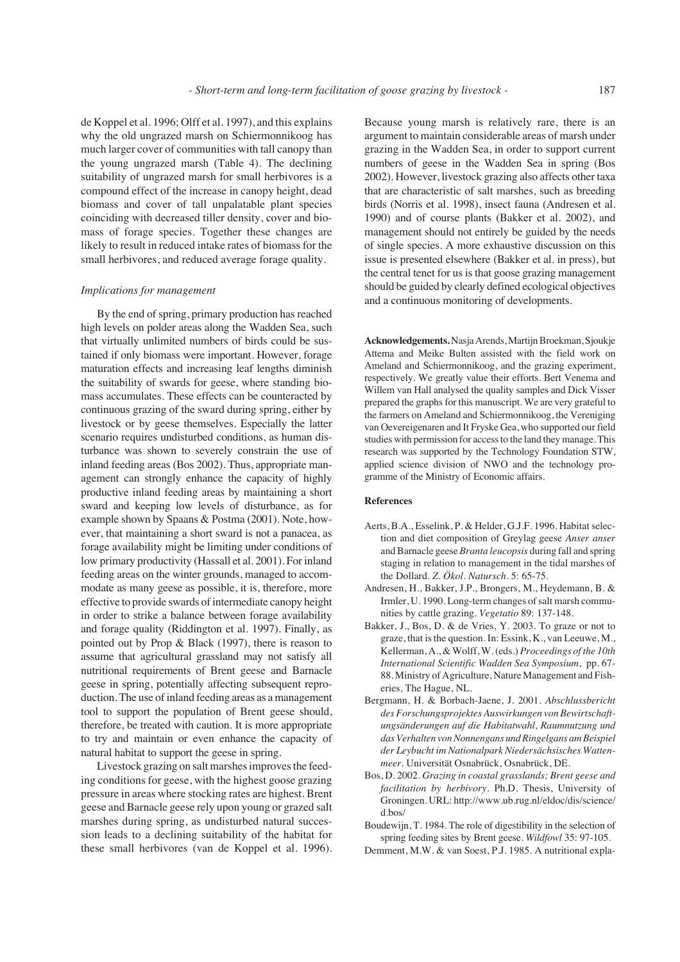de Koppel et al. 1996; Olff et al. 1997), and this explains why the old ungrazed marsh on Schiermonnikoog has much larger cover of communities with tall canopy than the young ungrazed marsh (Table 4). The declining suitability of ungrazed marsh for small herbivores is a compound effect of the increase in canopy height, dead biomass and cover of tall unpalatable plant species coinciding with decreased tiller density, cover and biomass of forage species. Together these changes are likely to result in reduced intake rates of biomass for the small herbivores, and reduced average forage quality.

#### *Implications for management*

By the end of spring, primary production has reached high levels on polder areas along the Wadden Sea, such that virtually unlimited numbers of birds could be sustained if only biomass were important. However, forage maturation effects and increasing leaf lengths diminish the suitability of swards for geese, where standing biomass accumulates. These effects can be counteracted by continuous grazing of the sward during spring, either by livestock or by geese themselves. Especially the latter scenario requires undisturbed conditions, as human disturbance was shown to severely constrain the use of inland feeding areas (Bos 2002). Thus, appropriate management can strongly enhance the capacity of highly productive inland feeding areas by maintaining a short sward and keeping low levels of disturbance, as for example shown by Spaans & Postma (2001). Note, however, that maintaining a short sward is not a panacea, as forage availability might be limiting under conditions of low primary productivity (Hassall et al. 2001). For inland feeding areas on the winter grounds, managed to accommodate as many geese as possible, it is, therefore, more effective to provide swards of intermediate canopy height in order to strike a balance between forage availability and forage quality (Riddington et al. 1997). Finally, as pointed out by Prop & Black (1997), there is reason to assume that agricultural grassland may not satisfy all nutritional requirements of Brent geese and Barnacle geese in spring, potentially affecting subsequent reproduction. The use of inland feeding areas as a management tool to support the population of Brent geese should, therefore, be treated with caution. It is more appropriate to try and maintain or even enhance the capacity of natural habitat to support the geese in spring.

Livestock grazing on salt marshes improves the feeding conditions for geese, with the highest goose grazing pressure in areas where stocking rates are highest. Brent geese and Barnacle geese rely upon young or grazed salt marshes during spring, as undisturbed natural succession leads to a declining suitability of the habitat for these small herbivores (van de Koppel et al. 1996).

Because young marsh is relatively rare, there is an argument to maintain considerable areas of marsh under grazing in the Wadden Sea, in order to support current numbers of geese in the Wadden Sea in spring (Bos 2002). However, livestock grazing also affects other taxa that are characteristic of salt marshes, such as breeding birds (Norris et al. 1998), insect fauna (Andresen et al. 1990) and of course plants (Bakker et al. 2002), and management should not entirely be guided by the needs of single species. A more exhaustive discussion on this issue is presented elsewhere (Bakker et al. in press), but the central tenet for us is that goose grazing management should be guided by clearly defined ecological objectives and a continuous monitoring of developments.

**Acknowledgements.**Nasja Arends, Martijn Broekman, Sjoukje Attema and Meike Bulten assisted with the field work on Ameland and Schiermonnikoog, and the grazing experiment, respectively. We greatly value their efforts. Bert Venema and Willem van Hall analysed the quality samples and Dick Visser prepared the graphs for this manuscript. We are very grateful to the farmers on Ameland and Schiermonnikoog, the Vereniging van Oevereigenaren and It Fryske Gea, who supported our field studies with permission for access to the land they manage. This research was supported by the Technology Foundation STW, applied science division of NWO and the technology programme of the Ministry of Economic affairs.

### **References**

- Aerts, B.A., Esselink, P. & Helder, G.J.F. 1996. Habitat selection and diet composition of Greylag geese *Anser anser* and Barnacle geese *Branta leucopsis* during fall and spring staging in relation to management in the tidal marshes of the Dollard. *Z. Ökol. Natursch.* 5: 65-75.
- Andresen, H., Bakker, J.P., Brongers, M., Heydemann, B. & Irmler, U. 1990. Long-term changes of salt marsh communities by cattle grazing. *Vegetatio* 89: 137-148.
- Bakker, J., Bos, D. & de Vries, Y. 2003. To graze or not to graze, that is the question. In: Essink, K., van Leeuwe, M., Kellerman, A., & Wolff, W. (eds.) *Proceedings of the 10th International Scientific Wadden Sea Symposium*, pp. 67- 88. Ministry of Agriculture, Nature Management and Fisheries, The Hague, NL.
- Bergmann, H. & Borbach-Jaene, J. 2001. *Abschlussbericht des Forschungsprojektes Auswirkungen von Bewirtschaftungsänderungen auf die Habitatwahl, Raumnutzung und das Verhalten von Nonnengans und Ringelgans am Beispiel der Leybucht im Nationalpark Niedersächsisches Wattenmeer.* Universität Osnabrück, Osnabrück, DE.
- Bos, D. 2002. *Grazing in coastal grasslands; Brent geese and facilitation by herbivory.* Ph.D. Thesis, University of Groningen. URL: http://www.ub.rug.nl/eldoc/dis/science/ d.bos/
- Boudewijn, T. 1984. The role of digestibility in the selection of spring feeding sites by Brent geese. *Wildfowl* 35: 97-105.
- Demment, M.W. & van Soest, P.J. 1985. A nutritional expla-